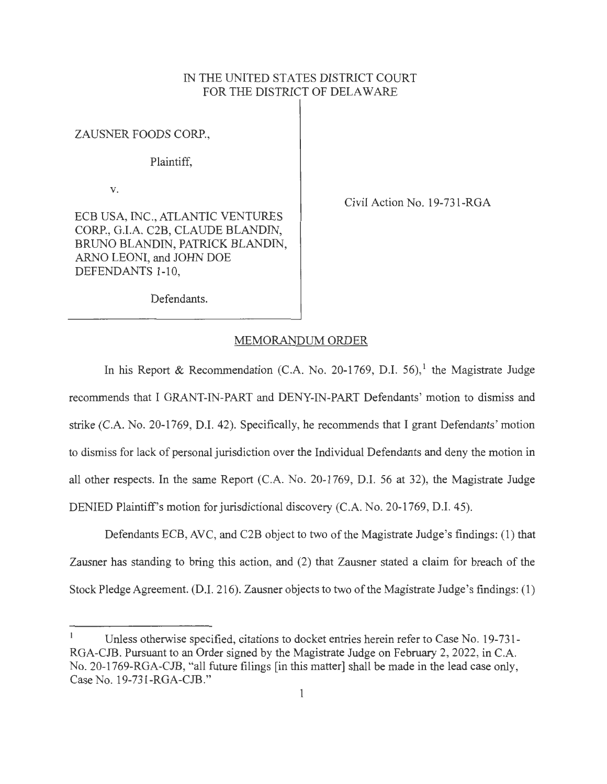# IN THE UNITED STATES DISTRICT COURT FOR THE DISTRICT OF DELAWARE

ZAUSNER FOODS CORP.,

Plaintiff,

V.

ECB USA, INC., ATLANTIC VENTURES CORP., G.I.A. C2B, CLAUDE BLANDIN, BRUNO BLANDIN, PATRICK BLANDIN, ARNO LEONI, and JOHN DOE DEFENDANTS 1-10,

Civil Action No. 19-731-RGA

Defendants.

#### MEMORANDUM ORDER

In his Report & Recommendation (C.A. No. 20-1769, D.I. 56),<sup>1</sup> the Magistrate Judge recommends that I GRANT-IN-PART and DENY-IN-PART Defendants' motion to dismiss and strike (C.A. No. 20-1769, D.I. 42). Specifically, he recommends that I grant Defendants' motion to dismiss for lack of personal jurisdiction over the Individual Defendants and deny the motion in all other respects. In the same Report (C.A. No. 20-1769, D.I. 56 at 32), the Magistrate Judge DENIED Plaintiff's motion for jurisdictional discovery (C.A. No. 20-1769, D.I. 45).

Defendants ECB, AVC, and C2B object to two of the Magistrate Judge 's findings: (1) that Zausner has standing to bring this action, and (2) that Zausner stated a claim for breach of the Stock Pledge Agreement. (D.I. 216). Zausner objects to two of the Magistrate Judge 's findings: (1)

Unless otherwise specified, citations to docket entries herein refer to Case No. 19-731- RGA-CJB. Pursuant to an Order signed by the Magistrate Judge on February 2, 2022, in C.A. No. 20-1769-RGA-CJB, "all future filings [in this matter] shall be made in the lead case only, Case No. 19-731-RGA-CJB."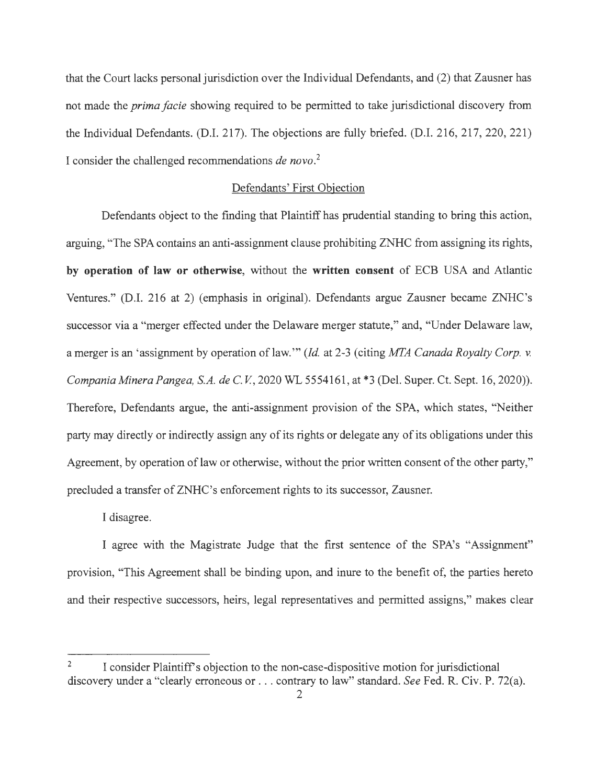that the Court lacks personal jurisdiction over the Individual Defendants, and (2) that Zausner has not made the *prima facie* showing required to be permitted to take jurisdictional discovery from the Individual Defendants. (D.I. 217). The objections are fully briefed. (D.I. 216, 217, 220, 221 ) I consider the challenged recommendations *de novo. 2* 

# Defendants' First Objection

Defendants object to the finding that Plaintiff has prudential standing to bring this action, arguing, "The SPA contains an anti-assignment clause prohibiting ZNHC from assigning its rights, **by operation of law or otherwise,** without the **written consent** of ECB USA and Atlantic Ventures." (D.I. 216 at 2) (emphasis in original). Defendants argue Zausner became ZNHC's successor via a "merger effected under the Delaware merger statute," and, "Under Delaware law, a merger is an 'assignment by operation of law. "' *(Id.* at 2-3 ( citing *MI'A Canada Royalty Corp. v. Compania Minera Pangea, S.A. de* C. *V,* 2020 WL 5554161 , at \*3 (Del. Super. Ct. Sept. 16, 2020)). Therefore, Defendants argue, the anti-assignment provision of the SPA, which states, "Neither party may directly or indirectly assign any of its rights or delegate any of its obligations under this Agreement, by operation of law or otherwise, without the prior written consent of the other party," precluded a transfer of ZNHC's enforcement rights to its successor, Zausner.

I disagree.

I agree with the Magistrate Judge that the first sentence of the SPA's "Assignment" provision, "This Agreement shall be binding upon, and inure to the benefit of, the parties hereto and their respective successors, heirs, legal representatives and permitted assigns," makes clear

<sup>&</sup>lt;sup>2</sup> I consider Plaintiff's objection to the non-case-dispositive motion for jurisdictional discovery under a "clearly erroneous or .. . contrary to law" standard. *See* Fed. R. Civ. P. 72(a).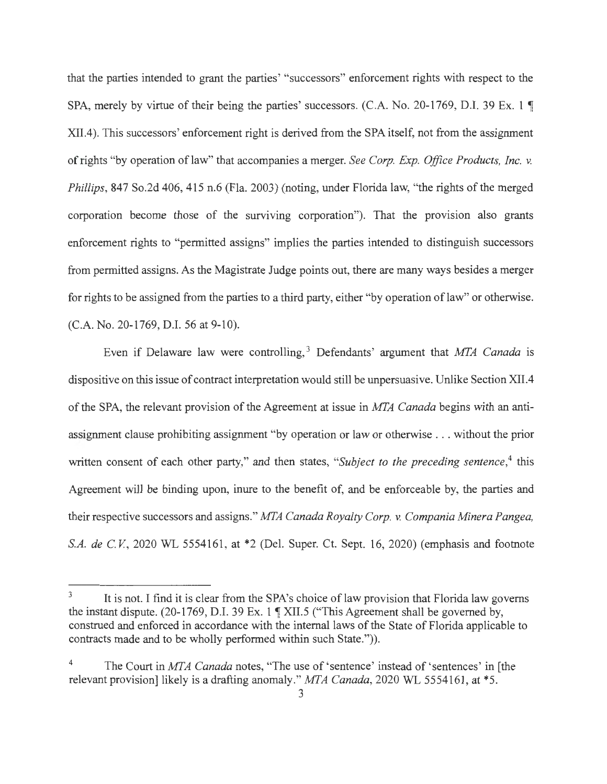that the parties intended to grant the parties' "successors" enforcement rights with respect to the SPA, merely by virtue of their being the parties' successors. (C.A. No. 20-1769, D.I. 39 Ex. 1  $\P$ XII.4). This successors' enforcement right is derived from the SPA itself, not from the assignment of rights "by operation of law" that accompanies a merger. *See Corp. Exp. Office Products, Inc. v. Phillips,* 847 So.2d 406, 415 n.6 (Fla. 2003) (noting, under Florida law, "the rights of the merged corporation become those of the surviving corporation"). That the provision also grants enforcement rights to "permitted assigns" implies the parties intended to distinguish successors from permitted assigns. As the Magistrate Judge points out, there are many ways besides a merger for rights to be assigned from the parties to a third party, either "by operation of law" or otherwise. (C.A. No. 20-1769, D.I. 56 at 9-10).

Even if Delaware law were controlling, 3 Defendants' argument that *MFA Canada* is dispositive on this issue of contract interpretation would still be unpersuasive. Unlike Section XII.4 of the SPA, the relevant provision of the Agreement at issue in *MFA Canada* begins with an antiassignment clause prohibiting assignment "by operation or law or otherwise .. . without the prior written consent of each other party," and then states, "Subject to the preceding sentence,<sup>4</sup> this Agreement will be binding upon, inure to the benefit of, and be enforceable by, the parties and their respective successors and assigns." MTA Canada Royalty Corp. v. Compania Minera Pangea, *S.A. de C.V.*, 2020 WL 5554161, at \*2 (Del. Super. Ct. Sept. 16, 2020) (emphasis and footnote

<sup>&</sup>lt;sup>3</sup> It is not. I find it is clear from the SPA's choice of law provision that Florida law governs the instant dispute. (20-1769, D.I. 39 Ex. 1  $\gamma$  XII.5 ("This Agreement shall be governed by, construed and enforced in accordance with the internal laws of the State of Florida applicable to contracts made and to be wholly performed within such State.")).

<sup>4</sup> The Court in *MFA Canada* notes, "The use of 'sentence' instead of 'sentences' in [the relevant provision] likely is a drafting anomaly." MTA Canada, 2020 WL 5554161, at \*5.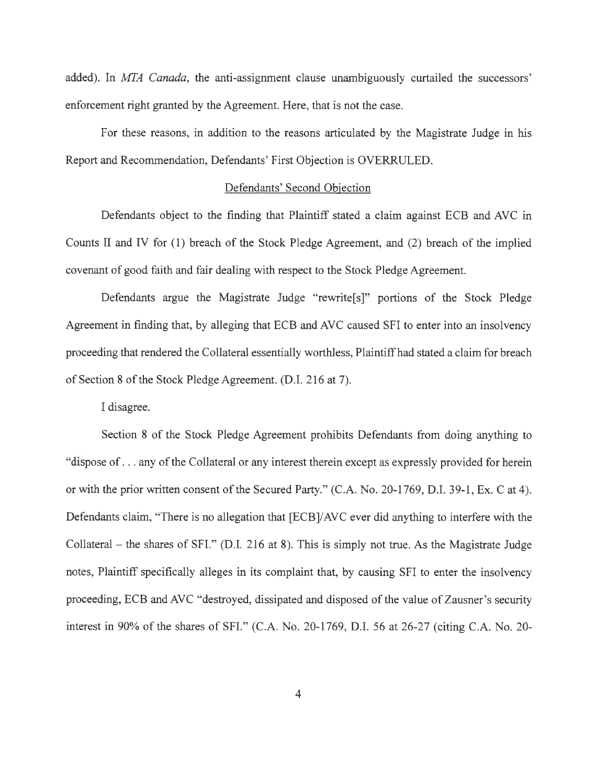added). In *MFA Canada,* the anti-assignment clause unambiguously curtailed the successors' enforcement right granted by the Agreement. Here, that is not the case.

For these reasons, in addition to the reasons articulated by the Magistrate Judge in his Report and Recommendation, Defendants' First Objection is OVERRULED.

### Defendants' Second Objection

Defendants object to the finding that Plaintiff stated a claim against ECB and AVC in Counts II and IV for (1) breach of the Stock Pledge Agreement, and (2) breach of the implied covenant of good faith and fair dealing with respect to the Stock Pledge Agreement.

Defendants argue the Magistrate Judge "rewrite<sup>[s]"</sup> portions of the Stock Pledge Agreement in finding that, by alleging that ECB and AVC caused SFI to enter into an insolvency proceeding that rendered the Collateral essentially worthless, Plaintiff had stated a claim for breach of Section 8 of the Stock Pledge Agreement. (D.I. 216 at 7).

I disagree.

Section 8 of the Stock Pledge Agreement prohibits Defendants from doing anything to "dispose of ... any of the Collateral or any interest therein except as expressly provided for herein or with the prior written consent of the Secured Party." (C.A. No. 20-1769, D.I. 39-1, Ex. C at 4). Defendants claim, "There is no allegation that [ECB]/AVC ever did anything to interfere with the Collateral – the shares of SFI." (D.I. 216 at 8). This is simply not true. As the Magistrate Judge notes, Plaintiff specifically alleges in its complaint that, by causing SFI to enter the insolvency proceeding, ECB andAVC "destroyed, dissipated and disposed of the value of Zausner's security interest in 90% of the shares of SFI." (C.A. No. 20-1769, D.I. 56 at 26-27 (citing C.A. No. 20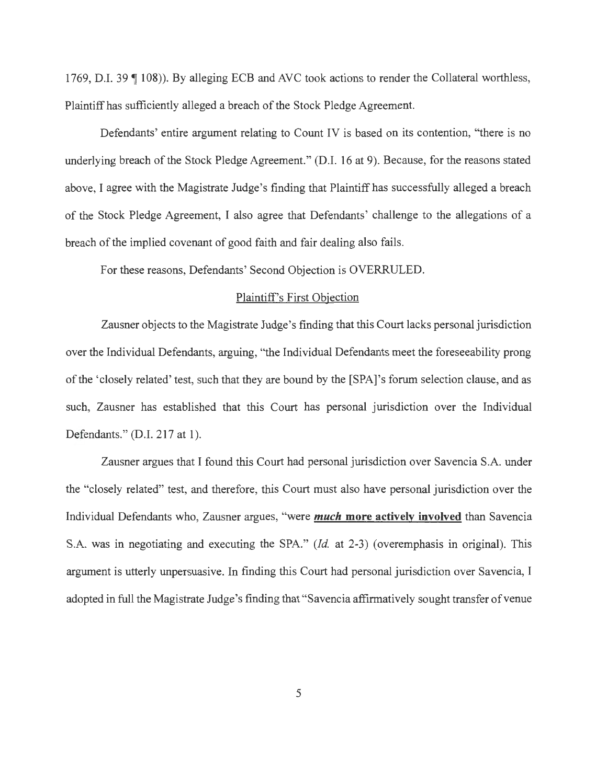1769, D.I. 39 ¶ 108)). By alleging ECB and AVC took actions to render the Collateral worthless, Plaintiff has sufficiently alleged a breach of the Stock Pledge Agreement.

Defendants' entire argument relating to Count IV is based on its contention, "there is no underlying breach of the Stock Pledge Agreement." (D.I. 16 at 9). Because, for the reasons stated above, I agree with the Magistrate Judge's finding that Plaintiff has successfully alleged a breach of the Stock Pledge Agreement, I also agree that Defendants' challenge to the allegations of a breach of the implied covenant of good faith and fair dealing also fails.

For these reasons, Defendants' Second Objection is OVERRULED.

# Plaintiff's First Objection

Zausner objects to the Magistrate Judge's finding that this Court lacks personal jurisdiction over the Individual Defendants, arguing, "the Individual Defendants meet the foreseeability prong of the 'closely related' test, such that they are bound by the [SPA]'s forum selection clause, and as such, Zausner has established that this Court has personal jurisdiction over the Individual Defendants." (D.I. 217 at 1).

Zausner argues that I found this Court had personal jurisdiction over Savencia S.A. under the "closely related" test, and therefore, this Court must also have personal jurisdiction over the Individual Defendants who, Zausner argues, "were *much* **more actively involved** than Savencia S.A. was in negotiating and executing the SPA." *(Id.* at 2-3) (overemphasis in original). This argument is utterly unpersuasive. In finding this Court had personal jurisdiction over Savencia, I adopted in full the Magistrate Judge's finding that "Savencia affirmatively sought transfer of venue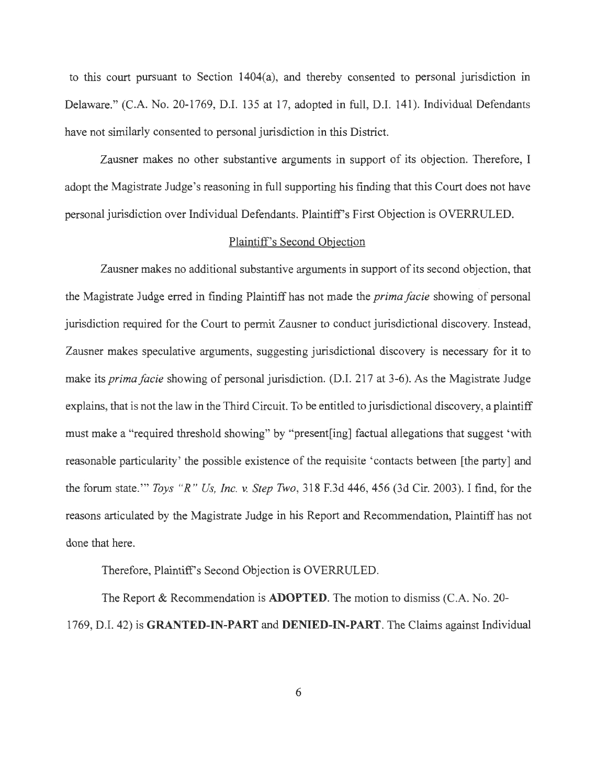to this court pursuant to Section 1404(a), and thereby consented to personal jurisdiction in Delaware." (C.A. No. 20-1769, D.I. 135 at 17, adopted in full, D.I. 141). Individual Defendants have not similarly consented to personal jurisdiction in this District.

Zausner makes no other substantive arguments in support of its objection. Therefore, I adopt the Magistrate Judge's reasoning in full supporting his finding that this Court does not have personal jurisdiction over Individual Defendants. Plaintiff's First Objection is OVERRULED.

# Plaintiff's Second Objection

Zausner makes no additional substantive arguments in support of its second objection, that the Magistrate Judge erred in finding Plaintiff has not made the *prima facie* showing of personal jurisdiction required for the Court to permit Zausner to conduct jurisdictional discovery. Instead, Zausner makes speculative arguments, suggesting jurisdictional discovery is necessary for it to make its *prima facie* showing of personal jurisdiction. (D.I. 217 at 3-6). As the Magistrate Judge explains, that is not the law in the Third Circuit. To be entitled to jurisdictional discovery, a plaintiff must make a "required threshold showing" by "present[ing] factual allegations that suggest 'with reasonable particularity' the possible existence of the requisite 'contacts between [the party] and the forum state. "' *Toys "R " Us, Inc.* v. *Step Two ,* 318 F.3d 446, 456 (3d Cir. 2003). I find, for the reasons articulated by the Magistrate Judge in his Report and Recommendation, Plaintiff has not done that here.

Therefore, Plaintiff's Second Objection is OVERRULED.

The Report & Recommendation is **ADOPTED.** The motion to dismiss (C.A. No. 20- 1769, D.I. 42) is **GRANTED-IN-PART and DENIED-IN-PART.** The Claims against Individual